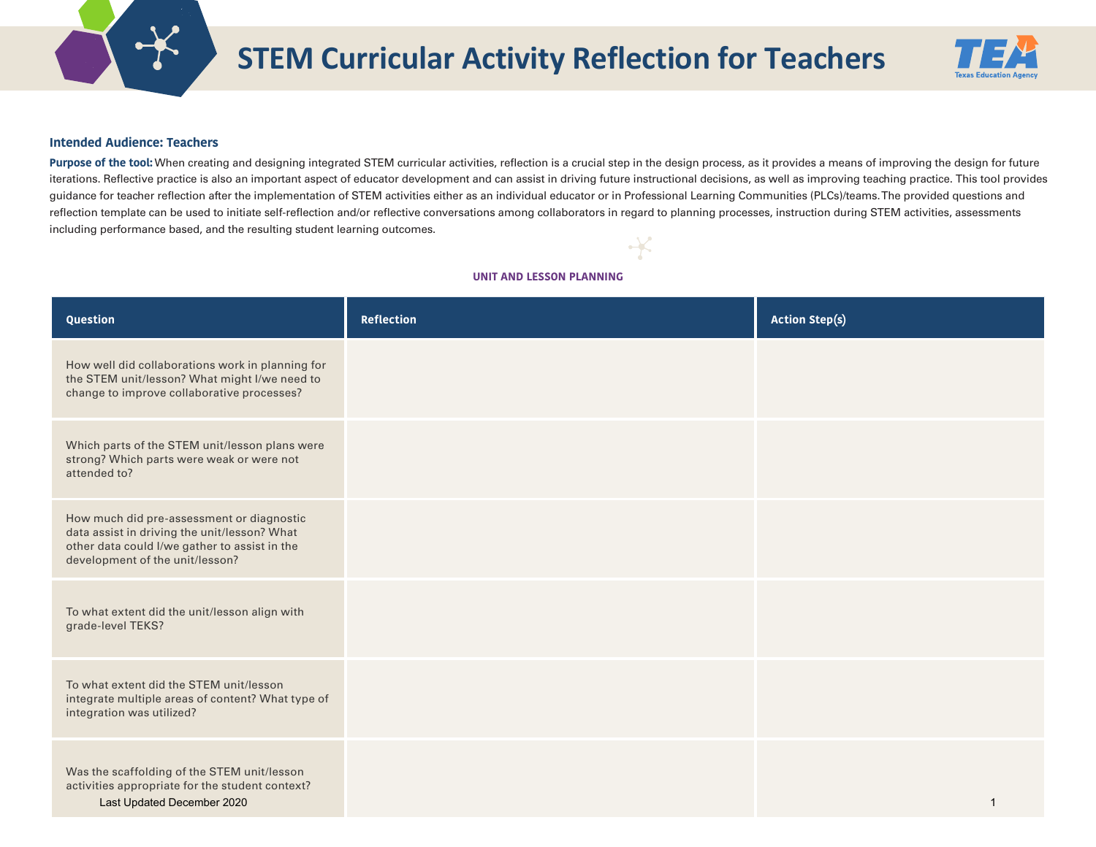

# **STEM Curricular Activity Reflection for Teachers**



# **Intended Audience: Teachers**

Purpose of the tool: When creating and designing integrated STEM curricular activities, reflection is a crucial step in the design process, as it provides a means of improving the design for future iterations. Reflective practice is also an important aspect of educator development and can assist in driving future instructional decisions, as well as improving teaching practice. This tool provides guidance for teacher reflection after the implementation of STEM activities either as an individual educator or in Professional Learning Communities (PLCs)/teams.The provided questions and reflection template can be used to initiate self-reflection and/or reflective conversations among collaborators in regard to planning processes, instruction during STEM activities, assessments including performance based, and the resulting student learning outcomes.

# **UNIT AND LESSON PLANNING**

| Question                                                                                                                                                                      | <b>Reflection</b> | <b>Action Step(s)</b> |
|-------------------------------------------------------------------------------------------------------------------------------------------------------------------------------|-------------------|-----------------------|
| How well did collaborations work in planning for<br>the STEM unit/lesson? What might I/we need to<br>change to improve collaborative processes?                               |                   |                       |
| Which parts of the STEM unit/lesson plans were<br>strong? Which parts were weak or were not<br>attended to?                                                                   |                   |                       |
| How much did pre-assessment or diagnostic<br>data assist in driving the unit/lesson? What<br>other data could I/we gather to assist in the<br>development of the unit/lesson? |                   |                       |
| To what extent did the unit/lesson align with<br>grade-level TEKS?                                                                                                            |                   |                       |
| To what extent did the STEM unit/lesson<br>integrate multiple areas of content? What type of<br>integration was utilized?                                                     |                   |                       |
| Was the scaffolding of the STEM unit/lesson<br>activities appropriate for the student context?<br>Last Updated December 2020                                                  |                   |                       |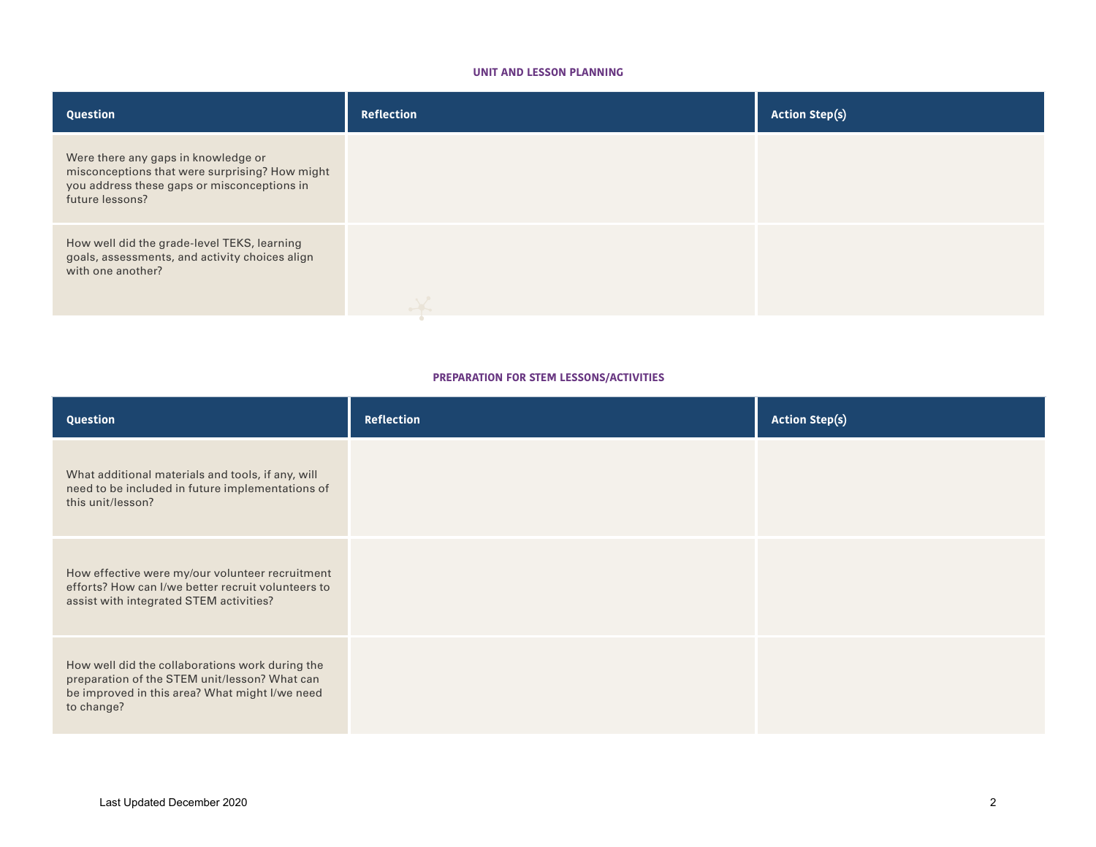# **UNIT AND LESSON PLANNING**

| Question                                                                                                                                                | <b>Reflection</b> | <b>Action Step(s)</b> |
|---------------------------------------------------------------------------------------------------------------------------------------------------------|-------------------|-----------------------|
| Were there any gaps in knowledge or<br>misconceptions that were surprising? How might<br>you address these gaps or misconceptions in<br>future lessons? |                   |                       |
| How well did the grade-level TEKS, learning<br>goals, assessments, and activity choices align<br>with one another?                                      |                   |                       |

# **PREPARATION FOR STEM LESSONS/ACTIVITIES**

| Question                                                                                                                                                         | <b>Reflection</b> | <b>Action Step(s)</b> |
|------------------------------------------------------------------------------------------------------------------------------------------------------------------|-------------------|-----------------------|
| What additional materials and tools, if any, will<br>need to be included in future implementations of<br>this unit/lesson?                                       |                   |                       |
| How effective were my/our volunteer recruitment<br>efforts? How can I/we better recruit volunteers to<br>assist with integrated STEM activities?                 |                   |                       |
| How well did the collaborations work during the<br>preparation of the STEM unit/lesson? What can<br>be improved in this area? What might I/we need<br>to change? |                   |                       |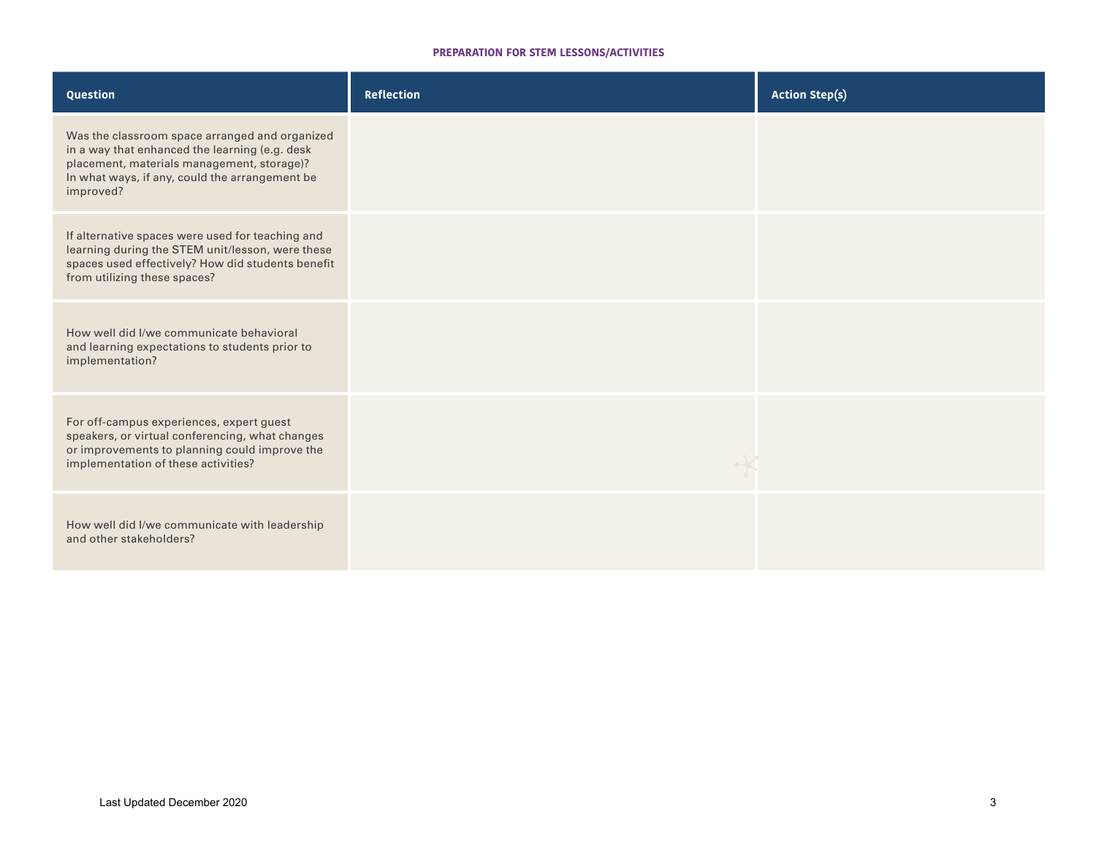# **PREPARATION FOR STEM LESSONS/ACTIVITIES**

| Question                                                                                                                                                                                                      | <b>Reflection</b> | <b>Action Step(s)</b> |
|---------------------------------------------------------------------------------------------------------------------------------------------------------------------------------------------------------------|-------------------|-----------------------|
| Was the classroom space arranged and organized<br>in a way that enhanced the learning (e.g. desk<br>placement, materials management, storage)?<br>In what ways, if any, could the arrangement be<br>improved? |                   |                       |
| If alternative spaces were used for teaching and<br>learning during the STEM unit/lesson, were these<br>spaces used effectively? How did students benefit<br>from utilizing these spaces?                     |                   |                       |
| How well did I/we communicate behavioral<br>and learning expectations to students prior to<br>implementation?                                                                                                 |                   |                       |
| For off-campus experiences, expert guest<br>speakers, or virtual conferencing, what changes<br>or improvements to planning could improve the<br>implementation of these activities?                           |                   |                       |
| How well did I/we communicate with leadership<br>and other stakeholders?                                                                                                                                      |                   |                       |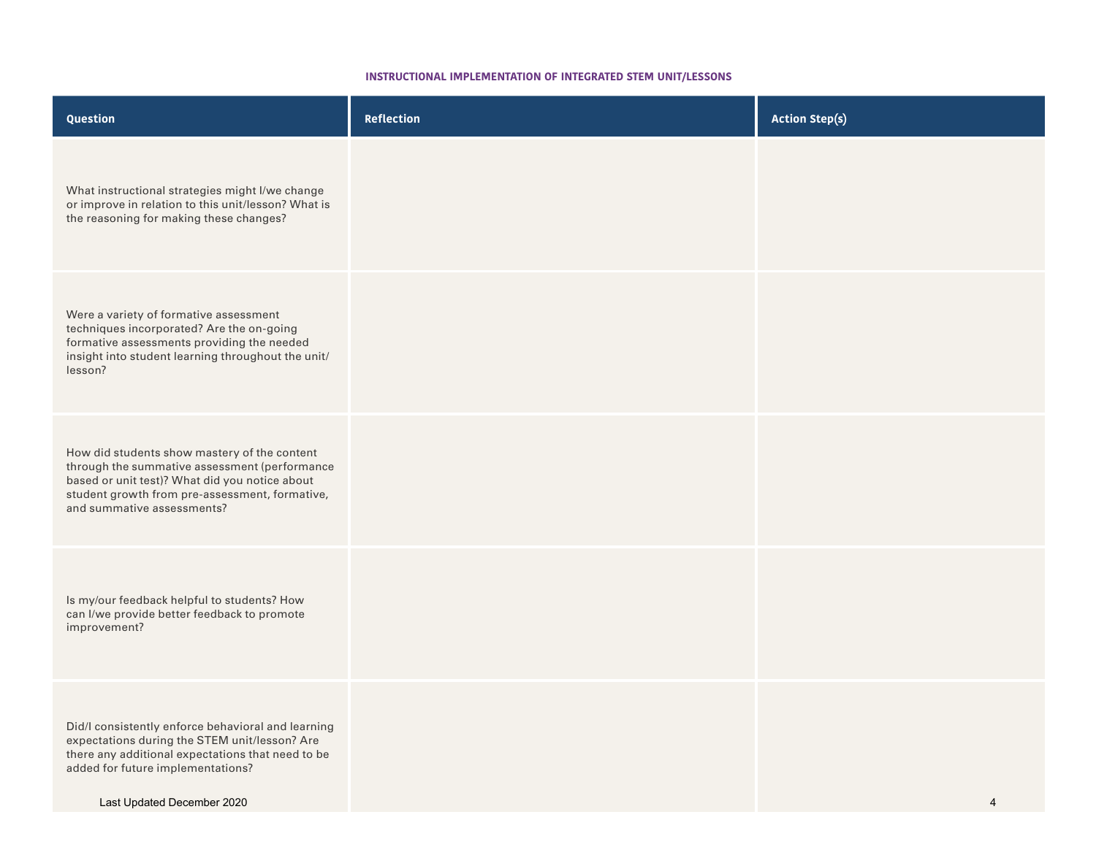#### **INSTRUCTIONAL IMPLEMENTATION OF INTEGRATED STEM UNIT/LESSONS**

| Question                                                                                                                                                                                                                        | <b>Reflection</b> | <b>Action Step(s)</b> |
|---------------------------------------------------------------------------------------------------------------------------------------------------------------------------------------------------------------------------------|-------------------|-----------------------|
| What instructional strategies might I/we change<br>or improve in relation to this unit/lesson? What is<br>the reasoning for making these changes?                                                                               |                   |                       |
| Were a variety of formative assessment<br>techniques incorporated? Are the on-going<br>formative assessments providing the needed<br>insight into student learning throughout the unit/<br>lesson?                              |                   |                       |
| How did students show mastery of the content<br>through the summative assessment (performance<br>based or unit test)? What did you notice about<br>student growth from pre-assessment, formative,<br>and summative assessments? |                   |                       |
| Is my/our feedback helpful to students? How<br>can I/we provide better feedback to promote<br>improvement?                                                                                                                      |                   |                       |
| Did/I consistently enforce behavioral and learning<br>expectations during the STEM unit/lesson? Are<br>there any additional expectations that need to be<br>added for future implementations?<br>Last Updated December 2020     |                   | $\overline{4}$        |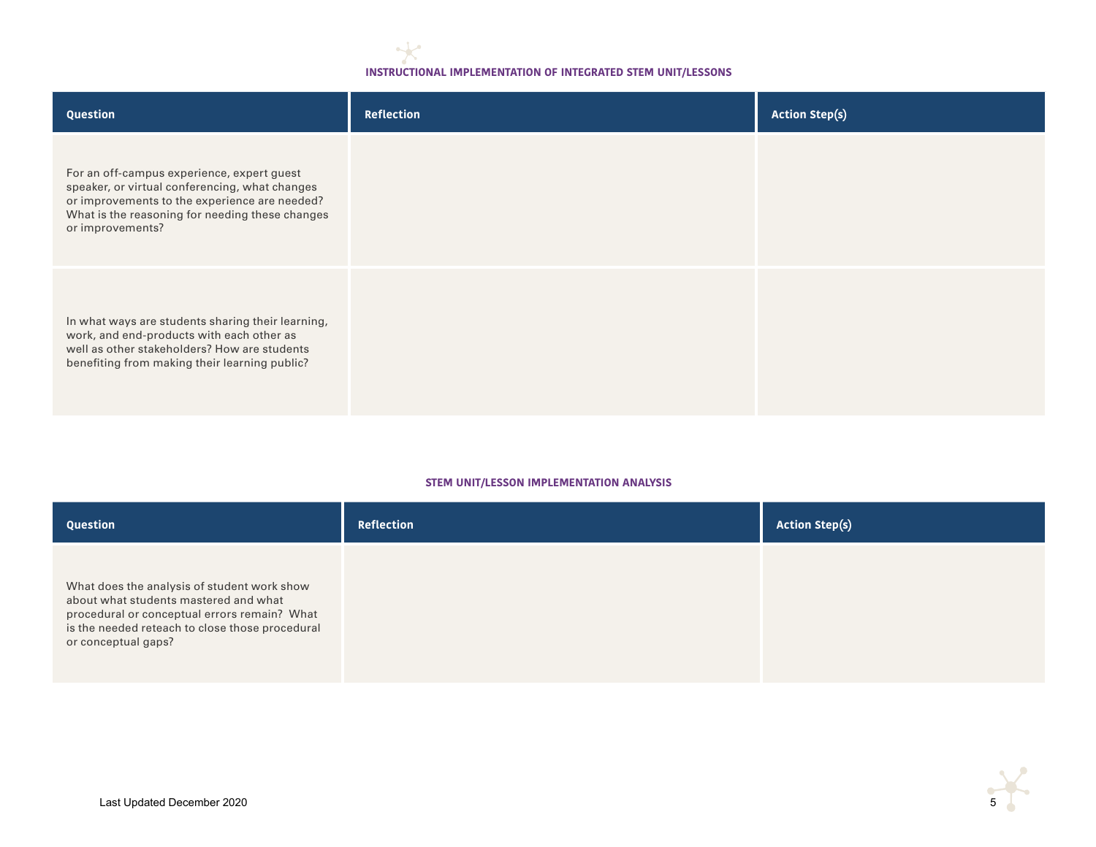# **INSTRUCTIONAL IMPLEMENTATION OF INTEGRATED STEM UNIT/LESSONS**

| Question                                                                                                                                                                                                             | Reflection | <b>Action Step(s)</b> |
|----------------------------------------------------------------------------------------------------------------------------------------------------------------------------------------------------------------------|------------|-----------------------|
| For an off-campus experience, expert guest<br>speaker, or virtual conferencing, what changes<br>or improvements to the experience are needed?<br>What is the reasoning for needing these changes<br>or improvements? |            |                       |
| In what ways are students sharing their learning,<br>work, and end-products with each other as<br>well as other stakeholders? How are students<br>benefiting from making their learning public?                      |            |                       |

# **STEM UNIT/LESSON IMPLEMENTATION ANALYSIS**

| Question                                                                                                                                                                                                       | Reflection | <b>Action Step(s)</b> |
|----------------------------------------------------------------------------------------------------------------------------------------------------------------------------------------------------------------|------------|-----------------------|
| What does the analysis of student work show<br>about what students mastered and what<br>procedural or conceptual errors remain? What<br>is the needed reteach to close those procedural<br>or conceptual gaps? |            |                       |